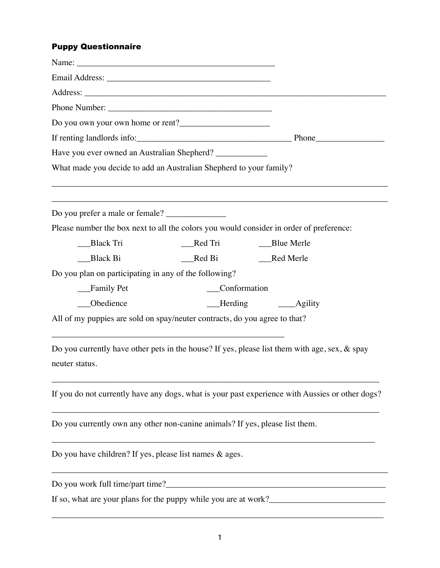## Puppy Questionnaire

| Email Address: No. 1996. The Contract of the Contract of the Contract of the Contract of the Contract of the Contract of the Contract of the Contract of the Contract of the Contract of the Contract of the Contract of the C |          |                                                                                                  |
|--------------------------------------------------------------------------------------------------------------------------------------------------------------------------------------------------------------------------------|----------|--------------------------------------------------------------------------------------------------|
|                                                                                                                                                                                                                                |          |                                                                                                  |
|                                                                                                                                                                                                                                |          |                                                                                                  |
|                                                                                                                                                                                                                                |          |                                                                                                  |
|                                                                                                                                                                                                                                |          |                                                                                                  |
| Have you ever owned an Australian Shepherd? ____________                                                                                                                                                                       |          |                                                                                                  |
| What made you decide to add an Australian Shepherd to your family?                                                                                                                                                             |          |                                                                                                  |
| Do you prefer a male or female? ______________                                                                                                                                                                                 |          |                                                                                                  |
|                                                                                                                                                                                                                                |          | Please number the box next to all the colors you would consider in order of preference:          |
| Black Tri                                                                                                                                                                                                                      | _Red Tri | <b>Blue Merle</b>                                                                                |
| <b>Black Bi</b>                                                                                                                                                                                                                | Red Bi   | __Red Merle                                                                                      |
| Do you plan on participating in any of the following?                                                                                                                                                                          |          |                                                                                                  |
| Family Pet                                                                                                                                                                                                                     |          | Conformation                                                                                     |
| Obedience                                                                                                                                                                                                                      |          |                                                                                                  |
| All of my puppies are sold on spay/neuter contracts, do you agree to that?                                                                                                                                                     |          |                                                                                                  |
| neuter status.                                                                                                                                                                                                                 |          | Do you currently have other pets in the house? If yes, please list them with age, sex, $\&$ spay |
|                                                                                                                                                                                                                                |          | If you do not currently have any dogs, what is your past experience with Aussies or other dogs?  |
| Do you currently own any other non-canine animals? If yes, please list them.                                                                                                                                                   |          |                                                                                                  |
| Do you have children? If yes, please list names & ages.                                                                                                                                                                        |          |                                                                                                  |
| Do you work full time/part time?__                                                                                                                                                                                             |          | <u> 1980 - Jan Barbarat, martin da shekara 1980 - Andrea San A</u>                               |
| If so, what are your plans for the puppy while you are at work?__________________                                                                                                                                              |          |                                                                                                  |
|                                                                                                                                                                                                                                |          |                                                                                                  |